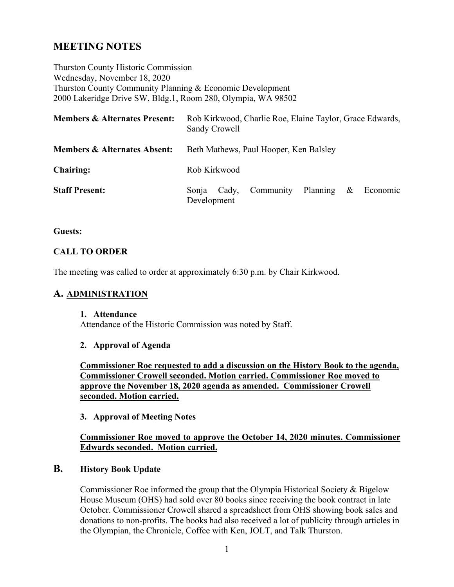# **MEETING NOTES**

Thurston County Historic Commission Wednesday, November 18, 2020 Thurston County Community Planning & Economic Development 2000 Lakeridge Drive SW, Bldg.1, Room 280, Olympia, WA 98502

| <b>Members &amp; Alternates Present:</b> | Rob Kirkwood, Charlie Roe, Elaine Taylor, Grace Edwards,<br>Sandy Crowell |       |                    |  |      |          |
|------------------------------------------|---------------------------------------------------------------------------|-------|--------------------|--|------|----------|
| <b>Members &amp; Alternates Absent:</b>  | Beth Mathews, Paul Hooper, Ken Balsley                                    |       |                    |  |      |          |
| <b>Chairing:</b>                         | Rob Kirkwood                                                              |       |                    |  |      |          |
| <b>Staff Present:</b>                    | Sonia<br>Development                                                      | Cady, | Community Planning |  | $\&$ | Economic |

#### **Guests:**

### **CALL TO ORDER**

The meeting was called to order at approximately 6:30 p.m. by Chair Kirkwood.

## **A. ADMINISTRATION**

#### **1. Attendance**

Attendance of the Historic Commission was noted by Staff.

### **2. Approval of Agenda**

**Commissioner Roe requested to add a discussion on the History Book to the agenda, Commissioner Crowell seconded. Motion carried. Commissioner Roe moved to approve the November 18, 2020 agenda as amended. Commissioner Crowell seconded. Motion carried.**

### **3. Approval of Meeting Notes**

### **Commissioner Roe moved to approve the October 14, 2020 minutes. Commissioner Edwards seconded. Motion carried.**

### **B. History Book Update**

Commissioner Roe informed the group that the Olympia Historical Society & Bigelow House Museum (OHS) had sold over 80 books since receiving the book contract in late October. Commissioner Crowell shared a spreadsheet from OHS showing book sales and donations to non-profits. The books had also received a lot of publicity through articles in the Olympian, the Chronicle, Coffee with Ken, JOLT, and Talk Thurston.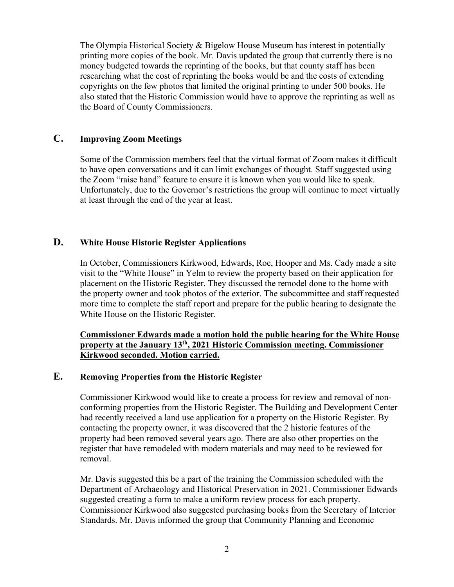The Olympia Historical Society & Bigelow House Museum has interest in potentially printing more copies of the book. Mr. Davis updated the group that currently there is no money budgeted towards the reprinting of the books, but that county staff has been researching what the cost of reprinting the books would be and the costs of extending copyrights on the few photos that limited the original printing to under 500 books. He also stated that the Historic Commission would have to approve the reprinting as well as the Board of County Commissioners.

### **C. Improving Zoom Meetings**

Some of the Commission members feel that the virtual format of Zoom makes it difficult to have open conversations and it can limit exchanges of thought. Staff suggested using the Zoom "raise hand" feature to ensure it is known when you would like to speak. Unfortunately, due to the Governor's restrictions the group will continue to meet virtually at least through the end of the year at least.

# **D. White House Historic Register Applications**

In October, Commissioners Kirkwood, Edwards, Roe, Hooper and Ms. Cady made a site visit to the "White House" in Yelm to review the property based on their application for placement on the Historic Register. They discussed the remodel done to the home with the property owner and took photos of the exterior. The subcommittee and staff requested more time to complete the staff report and prepare for the public hearing to designate the White House on the Historic Register.

## **Commissioner Edwards made a motion hold the public hearing for the White House property at the January 13th, 2021 Historic Commission meeting. Commissioner Kirkwood seconded. Motion carried.**

## **E. Removing Properties from the Historic Register**

Commissioner Kirkwood would like to create a process for review and removal of nonconforming properties from the Historic Register. The Building and Development Center had recently received a land use application for a property on the Historic Register. By contacting the property owner, it was discovered that the 2 historic features of the property had been removed several years ago. There are also other properties on the register that have remodeled with modern materials and may need to be reviewed for removal.

Mr. Davis suggested this be a part of the training the Commission scheduled with the Department of Archaeology and Historical Preservation in 2021. Commissioner Edwards suggested creating a form to make a uniform review process for each property. Commissioner Kirkwood also suggested purchasing books from the Secretary of Interior Standards. Mr. Davis informed the group that Community Planning and Economic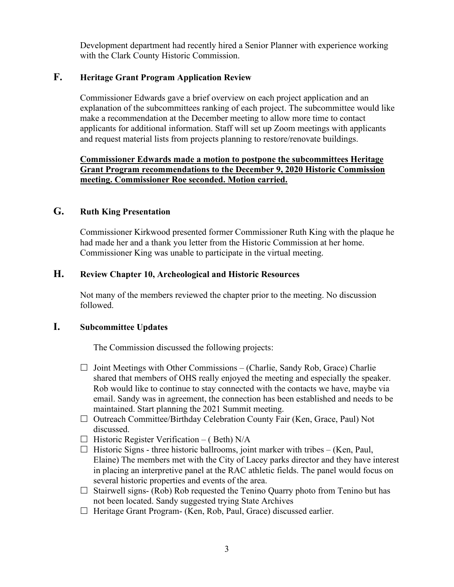Development department had recently hired a Senior Planner with experience working with the Clark County Historic Commission.

# **F. Heritage Grant Program Application Review**

Commissioner Edwards gave a brief overview on each project application and an explanation of the subcommittees ranking of each project. The subcommittee would like make a recommendation at the December meeting to allow more time to contact applicants for additional information. Staff will set up Zoom meetings with applicants and request material lists from projects planning to restore/renovate buildings.

## **Commissioner Edwards made a motion to postpone the subcommittees Heritage Grant Program recommendations to the December 9, 2020 Historic Commission meeting. Commissioner Roe seconded. Motion carried.**

# **G. Ruth King Presentation**

Commissioner Kirkwood presented former Commissioner Ruth King with the plaque he had made her and a thank you letter from the Historic Commission at her home. Commissioner King was unable to participate in the virtual meeting.

# **H. Review Chapter 10, Archeological and Historic Resources**

Not many of the members reviewed the chapter prior to the meeting. No discussion followed.

## **I. Subcommittee Updates**

The Commission discussed the following projects:

- $\Box$  Joint Meetings with Other Commissions (Charlie, Sandy Rob, Grace) Charlie shared that members of OHS really enjoyed the meeting and especially the speaker. Rob would like to continue to stay connected with the contacts we have, maybe via email. Sandy was in agreement, the connection has been established and needs to be maintained. Start planning the 2021 Summit meeting.
- $\Box$  Outreach Committee/Birthday Celebration County Fair (Ken, Grace, Paul) Not discussed.
- $\Box$  Historic Register Verification (Beth) N/A
- $\Box$  Historic Signs three historic ballrooms, joint marker with tribes (Ken, Paul, Elaine) The members met with the City of Lacey parks director and they have interest in placing an interpretive panel at the RAC athletic fields. The panel would focus on several historic properties and events of the area.
- $\Box$  Stairwell signs- (Rob) Rob requested the Tenino Quarry photo from Tenino but has not been located. Sandy suggested trying State Archives
- $\Box$  Heritage Grant Program- (Ken, Rob, Paul, Grace) discussed earlier.